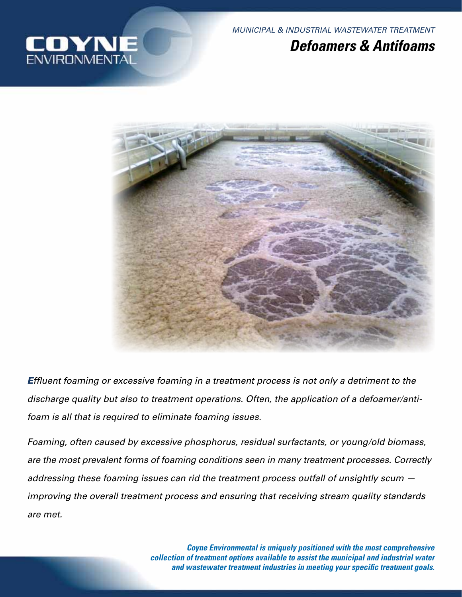

*MUNICIPAL & INDUSTRIAL WASTEWATER TREATMENT*

# *Defoamers & Antifoams*



*Effluent foaming or excessive foaming in a treatment process is not only a detriment to the discharge quality but also to treatment operations. Often, the application of a defoamer/antifoam is all that is required to eliminate foaming issues.* 

*Foaming, often caused by excessive phosphorus, residual surfactants, or young/old biomass, are the most prevalent forms of foaming conditions seen in many treatment processes. Correctly addressing these foaming issues can rid the treatment process outfall of unsightly scum improving the overall treatment process and ensuring that receiving stream quality standards are met.*

> *Coyne Environmental is uniquely positioned with the most comprehensive collection of treatment options available to assist the municipal and industrial water and wastewater treatment industries in meeting your specific treatment goals.*